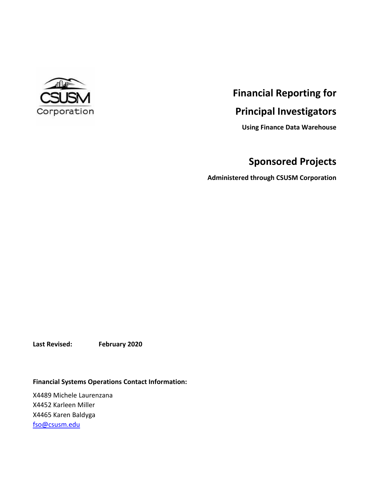

# **Financial Reporting for**

# **Principal Investigators**

**Using Finance Data Warehouse**

# **Sponsored Projects**

**Administered through CSUSM Corporation**

**Last Revised: February 2020**

**Financial Systems Operations Contact Information:**

X4489 Michele Laurenzana X4452 Karleen Miller X4465 Karen Baldyga [fso@csusm.edu](mailto:fso@csusm.edu)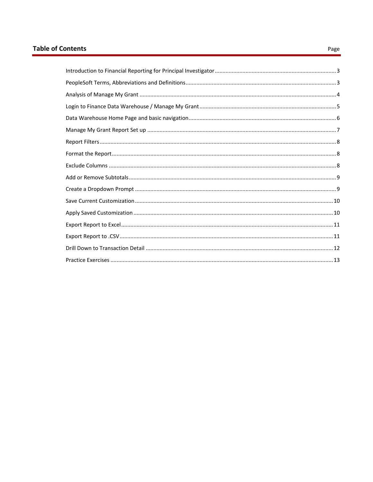# **Table of Contents**

#### Page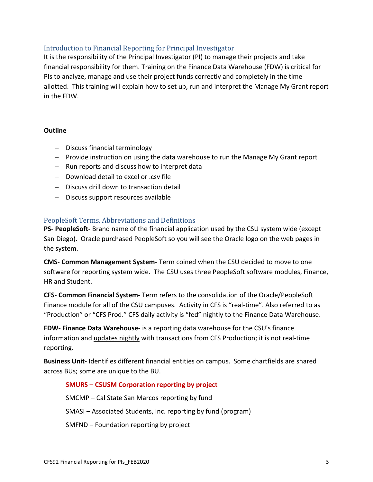# <span id="page-2-0"></span>Introduction to Financial Reporting for Principal Investigator

It is the responsibility of the Principal Investigator (PI) to manage their projects and take financial responsibility for them. Training on the Finance Data Warehouse (FDW) is critical for PIs to analyze, manage and use their project funds correctly and completely in the time allotted. This training will explain how to set up, run and interpret the Manage My Grant report in the FDW.

# **Outline**

- $-$  Discuss financial terminology
- Provide instruction on using the data warehouse to run the Manage My Grant report
- Run reports and discuss how to interpret data
- Download detail to excel or .csv file
- Discuss drill down to transaction detail
- Discuss support resources available

# <span id="page-2-1"></span>PeopleSoft Terms, Abbreviations and Definitions

**PS- PeopleSoft-** Brand name of the financial application used by the CSU system wide (except San Diego). Oracle purchased PeopleSoft so you will see the Oracle logo on the web pages in the system.

**CMS- Common Management System-** Term coined when the CSU decided to move to one software for reporting system wide. The CSU uses three PeopleSoft software modules, Finance, HR and Student.

**CFS- Common Financial System-** Term refers to the consolidation of the Oracle/PeopleSoft Finance module for all of the CSU campuses. Activity in CFS is "real-time". Also referred to as "Production" or "CFS Prod." CFS daily activity is "fed" nightly to the Finance Data Warehouse.

**FDW- Finance Data Warehouse-** is a reporting data warehouse for the CSU's finance information and updates nightly with transactions from CFS Production; it is not real-time reporting.

**Business Unit-** Identifies different financial entities on campus. Some chartfields are shared across BUs; some are unique to the BU.

# **SMURS – CSUSM Corporation reporting by project**

SMCMP – Cal State San Marcos reporting by fund

SMASI – Associated Students, Inc. reporting by fund (program)

SMFND – Foundation reporting by project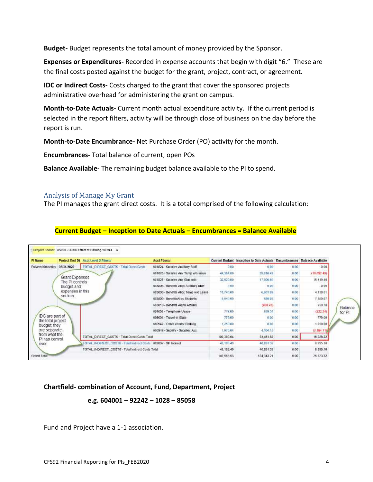**Budget-** Budget represents the total amount of money provided by the Sponsor.

**Expenses or Expenditures-** Recorded in expense accounts that begin with digit "6." These are the final costs posted against the budget for the grant, project, contract, or agreement.

**IDC or Indirect Costs-** Costs charged to the grant that cover the sponsored projects administrative overhead for administering the grant on campus.

**Month-to-Date Actuals-** Current month actual expenditure activity. If the current period is selected in the report filters, activity will be through close of business on the day before the report is run.

**Month-to-Date Encumbrance-** Net Purchase Order (PO) activity for the month.

**Encumbrances-** Total balance of current, open POs

**Balance Available-** The remaining budget balance available to the PI to spend.

#### <span id="page-3-0"></span>Analysis of Manage My Grant

The PI manages the grant direct costs. It is a total comprised of the following calculation:

## **Current Budget – Inception to Date Actuals – Encumbrances = Balance Available**

| Pi Name                              | Project End Dt Acct Level 2 Filescr                              | <b>Acct Fdescr</b>                      |             | Current Budget Inception to Date Actuals Encumbrances Balance Available |      |               |
|--------------------------------------|------------------------------------------------------------------|-----------------------------------------|-------------|-------------------------------------------------------------------------|------|---------------|
| Pulvers. Kimberley                   | <b>TOTAL DIRECT COSTS - Tetal Direct Costs</b><br>03/31/2020     | 661824 - Salaries Auxiliary Staff       | 0.00        | 0.00                                                                    | 0.00 | 0.00          |
|                                      |                                                                  | 661826 - Salaries Aux Temp w/o leave    | 44,364.00   | 55.016.49                                                               | 0.00 | (10.652.49)   |
|                                      | Grant Expenses<br>The PI controls                                | 661827 - Saiaries Aux Students          | 32,520.00   | 17,000.60                                                               | 0.00 | 15:519.40     |
| section                              | budget and                                                       | 603806 - Benefits Alloc Auxiliary Staff | 7.00        | 0.00 <sub>1</sub>                                                       | 0.00 | 0.00          |
|                                      | expenses in this                                                 | 603808 - Benefits Alloc Temp w/o Leave  | 10,740.00   | 6,601.99                                                                | 0.00 | 4,138.01      |
|                                      |                                                                  | 603809 - BenefitsAlloc Students         | 8,040.00    | 689.03                                                                  | 0.00 | 7,359.97      |
|                                      |                                                                  | 603610 - Benefits Adj to Actuals        |             | (950.78)                                                                | 0.00 | 950.78        |
|                                      |                                                                  | 604001 - Telephone Usage                | 717.00      | 939.34                                                                  | 0.00 | (222, 34)     |
| IDC are part of<br>the total project |                                                                  | 608001 - Travel-In State                | 779.00      | 0.00                                                                    | 0.00 | 779.00        |
| budget they                          |                                                                  | 660947 - Other Vendor Parking           | 1,250.00    | 0.00                                                                    | 0.00 | 1,250.00      |
| are separate                         |                                                                  | 660948 - SupSiv - Supplies Aux          | 1,970.04    | 4.164.15                                                                | 0.00 | ${12,194.11}$ |
| from what the<br>PI has control      | TOTAL DIRECT COSTS - Tetal Direct Costs Total                    |                                         | 100.388.04  | 83.451.82                                                               | 0.00 | 16,928.22     |
| OVEY.                                | TOTAL INDIRECT COSTS - Total Indirect Costs 662807 - SP Indirect |                                         | 49, 188, 49 | 40.891.39                                                               | 0.00 | 8,295.10      |
|                                      | TOTAL INDIRECT_COSTS - Total Indirect Costs Total                |                                         | 49, 186, 49 | 40.891.39                                                               | 0.00 | 8,295.10      |
| Grand Total                          |                                                                  |                                         | 149,566.53  | 124.343.21                                                              | 0.00 | 25, 223.32    |

## **Chartfield- combination of Account, Fund, Department, Project**

## **e.g. 604001 – 92242 – 1028 – 85058**

Fund and Project have a 1-1 association.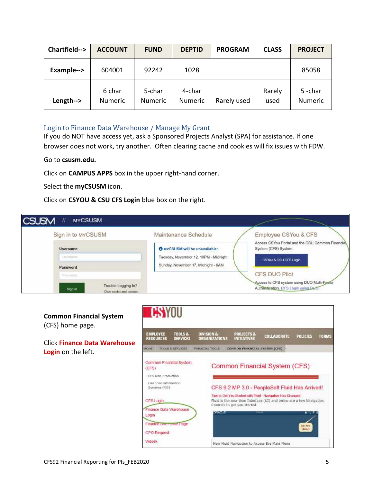| Chartfield--> | <b>ACCOUNT</b>           | <b>FUND</b>       | <b>DEPTID</b>            | <b>PROGRAM</b> | <b>CLASS</b>   | <b>PROJECT</b>           |
|---------------|--------------------------|-------------------|--------------------------|----------------|----------------|--------------------------|
| Example-->    | 604001                   | 92242             | 1028                     |                |                | 85058                    |
| Length-->     | 6 char<br><b>Numeric</b> | 5-char<br>Numeric | 4-char<br><b>Numeric</b> | Rarely used    | Rarely<br>used | 5-char<br><b>Numeric</b> |

## <span id="page-4-0"></span>Login to Finance Data Warehouse / Manage My Grant

If you do NOT have access yet, ask a Sponsored Projects Analyst (SPA) for assistance. If one browser does not work, try another. Often clearing cache and cookies will fix issues with FDW.

#### Go to **csusm.edu.**

Click on **CAMPUS APPS** box in the upper right-hand corner.

Select the **myCSUSM** icon.

Click on **CSYOU & CSU CFS Login** blue box on the right.

| <b>CSUSM</b><br><b>MYCSUSM</b>                              |                                       |                                                                                     |
|-------------------------------------------------------------|---------------------------------------|-------------------------------------------------------------------------------------|
| Sign in to MYCSUSM                                          | Maintenance Schedule                  | Employee CSYou & CFS                                                                |
| <b>Username</b><br><b>SOLVANNIE</b>                         | <b>O</b> MYCSUSM will be unavailable: | Access CSYou Portal and the CSU Common Financial<br>System (CFS) System.            |
| Usertarre                                                   | Tuesday, November 12, 10PM - Midnight | CSYOL & CSU CFS Login                                                               |
| Password                                                    | Sunday, November 17, Midnight - 6AM   |                                                                                     |
| Patternil                                                   |                                       | CFS DUO Pilot                                                                       |
| Trouble Logging In?<br>Sign in<br>Clinar cache and cookers. |                                       | Access to CFS system using DUO Multi-Factor<br>Authentication, CFS Login using DUCT |

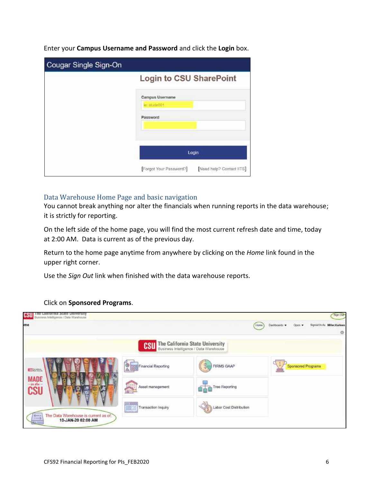| Cougar Single Sign-On |                                                     |
|-----------------------|-----------------------------------------------------|
|                       | Login to CSU SharePoint                             |
|                       | Campus Username<br>ier: strude-001                  |
|                       | Password                                            |
|                       | Login                                               |
|                       | [Forgot Your Password?]<br>Need help? Contact IITS] |

Enter your **Campus Username and Password** and click the **Login** box.

## <span id="page-5-0"></span>Data Warehouse Home Page and basic navigation

You cannot break anything nor alter the financials when running reports in the data warehouse; it is strictly for reporting.

On the left side of the home page, you will find the most current refresh date and time, today at 2:00 AM. Data is current as of the previous day.

Return to the home page anytime from anywhere by clicking on the *Home* link found in the upper right corner.

Use the *Sign Out* link when finished with the data warehouse reports.

## Click on **Sponsored Programs**.

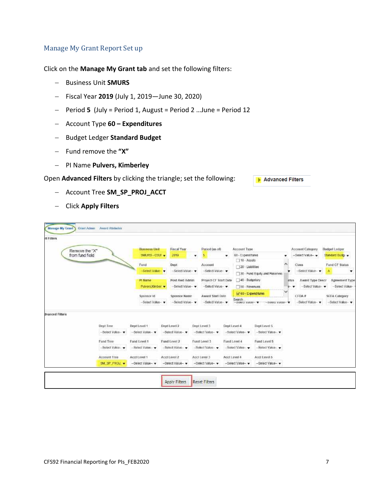# <span id="page-6-0"></span>Manage My Grant Report Set up

Click on the **Manage My Grant tab** and set the following filters:

- Business Unit **SMURS**
- Fiscal Year **2019** (July 1, 2019—June 30, 2020)
- Period **5** (July = Period 1, August = Period 2 …June = Period 12
- Account Type **60 – Expenditures**
- Budget Ledger **Standard Budget**
- Fund remove the **"X"**
- PI Name **Pulvers, Kimberley**

Open **Advanced Filters** by clicking the triangle; set the following:

Advanced Filters

- Account Tree **SM\_SP\_PROJ\_ACCT**
- Click **Apply Filters**

| Remove the "X"  |                     | <b>Business Unit</b>         | <b>Fascal Year</b>              | Period (as of)          |                       | Account Type                                    |                               |      | Account Category         | <b>Budget Ladger</b>                   |
|-----------------|---------------------|------------------------------|---------------------------------|-------------------------|-----------------------|-------------------------------------------------|-------------------------------|------|--------------------------|----------------------------------------|
| from fund field |                     | SMURS - CSUL -               | 2019                            | 5<br>۰                  | ٠                     | 51-Expenditures<br>$\Box$ 10 - Assets           |                               |      | -Select Value-           | Standard Budg .                        |
|                 |                     | Forld                        | <b>Dept</b>                     | Account                 |                       | 20 - Liablities                                 |                               | ×    | Class                    | Fund CF Status                         |
|                 |                     | -Select Value v              | -Select Viilue-                 |                         | -Select Value-        |                                                 | 30 - Fund Equity and Reserves |      | -Select Value-           | Α<br>▼                                 |
|                 |                     | <b>Pi Name</b>               | Post Awd Admin                  |                         | Project CF Start Date | 40 - Budgelary                                  |                               | atus | Award Type Descr         | Agreement Type                         |
|                 |                     | Puivers, Kimber              | -Select Value-                  |                         | -Select Value-        | 50 - Revenues                                   |                               | ⊢▼   | -Select Value -          | -Select Value-                         |
|                 |                     | Sponsor Id<br>-Select Value- | Sponsor Name<br>-- Beled Value- | <b>Award Start Date</b> | -Select Value-        | V 60 - Expenditures<br>Search.<br>-SUNCEVERNI V | -DIRIUL VARIB-                |      | CFOA #<br>-Select Value- | <b>SEFA Category</b><br>-Select Value- |
| dvanced Filters |                     |                              |                                 |                         |                       |                                                 |                               |      |                          |                                        |
|                 | Dept Tree           | Dept Level 1                 | Dept Level 2                    | Dept Level 3            | Dept Level 4          |                                                 | Dept Level 5                  |      |                          |                                        |
|                 | -Select Value - v   | -Seiect Value-               | -Saled Value-                   | -Salect Value -         |                       | -Seigct Value-                                  | -Select Value - v             |      |                          |                                        |
|                 | Fund Tree           | Fand Level 1                 | Fund Level 2                    | Fund Level 3            |                       | Fund Level 4                                    | Fund Level 5                  |      |                          |                                        |
|                 | -Select Value-      | Solon Value                  | -Saled Value -                  | -Salact Value -         |                       | -Soloct Valluo -                                | -Soloct Vakin-                |      |                          |                                        |
|                 | <b>Account Tree</b> | Acct Level 1                 | Acct Level 2                    | Acct Level 3            | Acct Level 4          |                                                 | Acct Level 5                  |      |                          |                                        |
|                 | <b>SM SP PROJ</b>   | -Select Value-               | -Select Value-                  | -Select Value --        |                       | -Select Value-                                  | -Select Value-                |      |                          |                                        |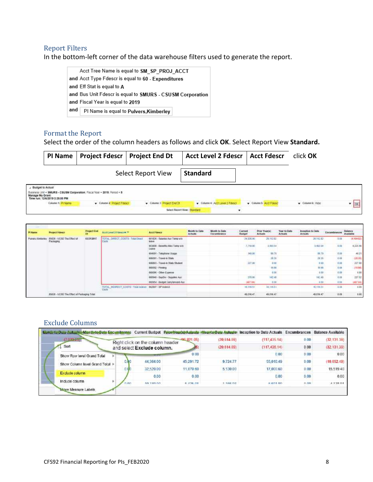#### <span id="page-7-0"></span>Report Filters

In the bottom-left corner of the data warehouse filters used to generate the report.

Acct Tree Name is equal to SM\_SP\_PROJ\_ACCT and Acct Type Fdescr is equal to 60 - Expenditures and Eff Stat is equal to A and Bus Unit Fdescr is equal to SMURS - CSUSM Corporation and Fiscal Year is equal to 2019 and PI Name is equal to Pulvers, Kimberley

# <span id="page-7-1"></span>Format the Report

Select the order of the column headers as follows and click **OK**. Select Report View **Standard.**

|                 |                                                    | PI Name   Project Fdescr   Project End Dt                                 |                    | Acct Level 2 Fdescr   Acct Fdescr | click <b>OK</b> |  |
|-----------------|----------------------------------------------------|---------------------------------------------------------------------------|--------------------|-----------------------------------|-----------------|--|
|                 |                                                    |                                                                           | Select Report View | <b>Standard</b>                   |                 |  |
| Manage My Grant | Budget to Actual<br>Time run: 12/8/2019 3:25:00 PM | Business Unit - SMURS - CSUSM Corporation, Fiscal Year - 2019, Period - 5 |                    |                                   |                 |  |

| Column 2: Project Fdescr | Column 3: Project End Dt | Column 4: And Level 2 Fdascr | Column 5: Acct Foeso         | Column 6: Hide | 061 |
|--------------------------|--------------------------|------------------------------|------------------------------|----------------|-----|
|                          |                          |                              |                              |                |     |
|                          |                          |                              | Select Report View: Standard |                |     |

| Pi Name            | <b>Project Edesch</b>                                        | <b>Project End</b><br>ria: | And Level 2 Foreman **                        | <b>Acct Filescr</b>                             | <b>Month to Data</b><br><b>Actuals</b> | Month to Date<br>Encumbrance | Current<br><b>Ruspot</b> | <b>Prior Yearist</b><br><b>Actuals</b> | Year to Date<br><b>Actuals</b> | Inception to Date<br><b>Achials</b> | Encumbrances      | Balance<br>Available           |
|--------------------|--------------------------------------------------------------|----------------------------|-----------------------------------------------|-------------------------------------------------|----------------------------------------|------------------------------|--------------------------|----------------------------------------|--------------------------------|-------------------------------------|-------------------|--------------------------------|
| Pulvers Kingberley | 85028 - UCBD The Effect of<br>Packaging                      | 83/31/2017                 | TOTAL DIRECT: COSTS - Total Drect<br>Com      | 601826 - Salaries Aux Terra wip<br><b>Janus</b> |                                        |                              | 24 128.00                | 20.113.82                              |                                | 20.112.82<br>world chief politi     | 0.01<br>$11 - 11$ | (4/184 82)<br><b>CONTINUES</b> |
|                    |                                                              |                            |                                               | BO3808 - Basetts Allac Tama w/a<br>Loave .      |                                        |                              | 7,719.00                 | 1,403.54                               |                                | 140354                              | 0.01              | 4,225.46                       |
|                    |                                                              |                            |                                               | B04001 - Telephone Usage                        |                                        |                              | 149.90                   | 09.79                                  |                                | 98.79                               | 6.93              | 42.21                          |
|                    |                                                              |                            |                                               | 809001 - Travel-in State                        |                                        |                              | 12555                    | 28.31                                  |                                | 28.35                               | 0.08              | (20.95)                        |
|                    |                                                              |                            | 606803 - Travel-in State Student              |                                                 |                                        | 227.00                       | 0.08                     |                                        | E 00                           | 4.93                                | 227.00            |                                |
|                    |                                                              |                            |                                               | 660002 - Phtvbng                                |                                        |                              |                          | 19.91                                  |                                | <b>IESS</b>                         | 0.03              | (99.98)                        |
|                    |                                                              |                            |                                               | 660090 - Other Expense                          |                                        |                              |                          | 0.06                                   |                                | 8.00                                | 0.04              | 1.02                           |
|                    |                                                              |                            |                                               | 660948 - SupSny - Supplies Aux                  |                                        |                              | T70.00                   | 142.48                                 |                                | 142.48                              | 0.03              | 227.67                         |
|                    |                                                              |                            |                                               | 660954 - Budget Carrytorward-Ass.               |                                        |                              | 1417.06                  | 0.06                                   |                                | 1.00                                | 0.08              | (807.94)                       |
|                    | and a formation of the first constitution of the behavior of |                            | TOTAL_INDIRECT_DOSTS - Total listing<br>Costs | 062807 - SP indirect                            |                                        |                              | <b>10.119.01</b>         | 10,116.51                              |                                | 05/110.01<br>ADSAMI                 | 0.09              | 1.00                           |
|                    | 85028 - UCSO The Effect of Packaging Total                   |                            |                                               |                                                 |                                        |                              | 49,016.47                | 49,016.47                              |                                | 49.016.47                           | 0.08              | 8.00                           |

## <span id="page-7-2"></span>Exclude Columns

| Menth-te Bate Encumbrence<br><b>Manufacture Cost August</b> |      |                                  |                |             | Current Budget Prior Vessish Asiasia Nearte Bate Autusis: Inception to Date Actuals Encumbrances Balance Available |                  |               |
|-------------------------------------------------------------|------|----------------------------------|----------------|-------------|--------------------------------------------------------------------------------------------------------------------|------------------|---------------|
| $(7.022 - 1)$                                               |      | Right click on the column header | 406, 821, (95) | (20.614.09) | (117, 435, 14)                                                                                                     | 0.00             | (32, 131, 39) |
| Sort                                                        |      | and select Exclude column.       |                | (20.614.09) | (117, 435, 14)                                                                                                     | 0.00             | (32, 131, 39) |
| Show Row level Grand Total                                  |      | <b><i>SHERING</i></b>            | 0.00           |             | 0.00                                                                                                               | 0.00             | 0.00          |
| Show Column level Grand Total >                             | 0.80 | 44,364.00                        | 45.291.72      | 9.724.77    | 55,016.49                                                                                                          | 0.00.            | (10.652.49)   |
|                                                             | n da | 32,520.00                        | 11,870.60      | 5.130.00    | 17,000.60                                                                                                          | 0.00             | 15.519 40     |
| Exclude column                                              |      | 0.00                             | 0.00           |             | 0.00                                                                                                               | 0.00             | 0.00          |
| Include column                                              | non  | 40.7 AB 00                       | 51.35.01       | $+ 458.00$  | $E$ $E$ 04 $R$ 0                                                                                                   | n no<br>US 1989- | 4.570.01      |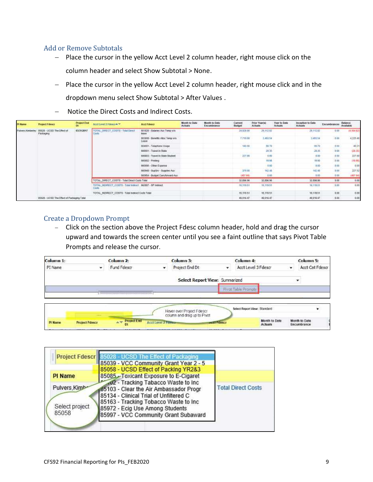# <span id="page-8-0"></span>Add or Remove Subtotals

- Place the cursor in the yellow Acct Level 2 column header, right mouse click on the column header and select Show Subtotal > None.
- Place the cursor in the yellow Acct Level 2 column header, right mouse click and in the dropdown menu select Show Subtotal > After Values .
- Notice the Direct Costs and Indirect Costs.

| <b>PI Name</b>          | <b>Project Friesch</b>                         | <b>Project End</b><br>Ot: | Accidented 2 Fifescr # W                                             | Acct Fdescr                                     | <b>Month to Date</b><br><b>Actuals</b> | <b>Month to Date</b><br>Encumbrance | Current<br>Budget              | <b>Prior Yeards</b><br><b>Actuals</b> | Year to Date<br>Actuals | Inception to Date<br>Actuals:     | Encumbrances | Balance<br>Available    |
|-------------------------|------------------------------------------------|---------------------------|----------------------------------------------------------------------|-------------------------------------------------|----------------------------------------|-------------------------------------|--------------------------------|---------------------------------------|-------------------------|-----------------------------------|--------------|-------------------------|
| <b>Pulvers Xinderis</b> | 85028 - UCSD The Effect of<br><b>Packaging</b> | 03/31/2017                | TOTAL DRECT COSTS - Tatal Deed<br>Gorth                              | 501125 - Salaries Aux Temp wis-<br><b>SERVE</b> |                                        |                                     | 24,528.00<br><b>CONTRACTOR</b> | 29,112.82                             |                         | 29,142.82                         | $-0.00$      | (4, 104.82)             |
|                         | -------                                        |                           |                                                                      | 603888 - Benette Alico Temp w/o<br>Lozen        |                                        |                                     | 7.719.00                       | 3,493.54                              |                         | 3,499.54                          | 0.00         | 4,225.05                |
|                         |                                                |                           |                                                                      | 604501 - Takeshone USApp                        |                                        |                                     | 140.00                         | 灿 75                                  |                         | 4920                              | 0.183        | 40.21<br><b>Service</b> |
|                         |                                                |                           |                                                                      | 606001 - Travel-in State                        |                                        |                                     |                                | 28 35                                 |                         | 2636                              | 0.00         | 129 万                   |
|                         |                                                |                           | 600803 - Travel-In-State Student                                     |                                                 |                                        | 227.09                              | 0.00                           |                                       | 0.00                    | 0.00                              | 227.09       |                         |
|                         |                                                |                           |                                                                      | 660902 - Pretting                               |                                        |                                     |                                | 19.98                                 |                         | 19.98                             | 0.00         | H9.98)                  |
|                         |                                                |                           |                                                                      | 660890 - Other Expense                          |                                        |                                     |                                | 0.03                                  |                         | 9.80                              | 0.00         | 0.05                    |
|                         |                                                |                           |                                                                      | 560948 - SupSrv - Supples Aux                   |                                        |                                     | 370.00                         | 142.45                                |                         | 142.45                            | 0.00         | 227.52                  |
|                         |                                                |                           |                                                                      | 669954 - Budget Camyforword-Aux                 |                                        |                                     | (457.04)                       | 0.00                                  |                         | 0.00                              | 0.00         | (407.04)                |
|                         |                                                |                           | TOTAL_DIRECT_COSTS - Total Deact Costs Total                         |                                                 |                                        |                                     | 32,896.96                      | 12,896.96                             |                         | 52.898.96                         | 0.00         | 0.00                    |
|                         |                                                |                           | TOTAL_NDIRECT_COSTS - Total Indirect   662107 - BP Indirect<br>Costs |                                                 |                                        |                                     | 16,119.51                      | 10,119.51                             |                         | 16,119.51<br><b>START COMPANY</b> | 0.00         | 0.00                    |
|                         |                                                |                           | TOTAL INDIRECT COSTS - Total indusci Costs Total                     |                                                 |                                        |                                     | 16,119.51                      | 10,119.51                             |                         | 16,119.51                         | 0.00         | 0.00                    |
|                         | 85028 - UCSD The Effect of Packaging Total     | <b>2000 m</b>             |                                                                      |                                                 |                                        |                                     | 49.016.47                      | 49.016.47                             |                         | 49.016.47                         | 0.00         | 0.00                    |

## <span id="page-8-1"></span>Create a Dropdown Prompt

- Click on the section above the Project Fdesc column header, hold and drag the cursor upward and towards the screen center until you see a faint outline that says Pivot Table Prompts and release the cursor.



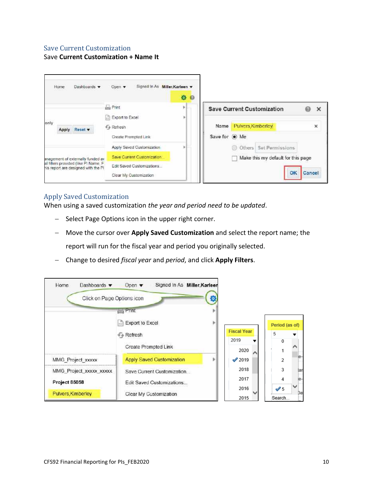## <span id="page-9-0"></span>Save Current Customization

Save **Current Customization + Name It**



## <span id="page-9-1"></span>Apply Saved Customization

When using a saved customization *the year and period need to be updated*.

- Select Page Options icon in the upper right corner.
- Move the cursor over **Apply Saved Customization** and select the report name; the report will run for the fiscal year and period you originally selected.
- Change to desired *fiscal year* and *period*, and click **Apply Filters**.

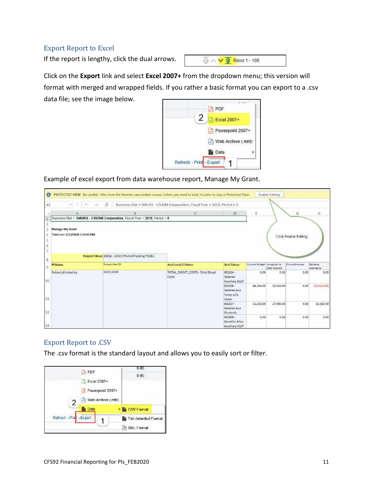# <span id="page-10-0"></span>Export Report to Excel

If the report is lengthy, click the dual arrows.



Click on the **Export** link and select **Excel 2007+** from the dropdown menu; this version will format with merged and wrapped fields. If you rather a basic format you can export to a .csv data file; see the image below.



Example of excel export from data warehouse report, Manage My Grant.

| Al                             | .tx                                                                       | Business Unit = 5MURS - CSUSM Corporation, Fiscal Year = 2019, Period = 5 |                                                    |                             |              |                      |             |
|--------------------------------|---------------------------------------------------------------------------|---------------------------------------------------------------------------|----------------------------------------------------|-----------------------------|--------------|----------------------|-------------|
|                                |                                                                           | C                                                                         | Ð                                                  | Ë                           |              | G.                   | ₩           |
|                                | Business Unit = SMURS - CSUSM Corporation, Fiscal Year = 2019, Period = 5 |                                                                           |                                                    |                             |              |                      |             |
| Manage My Grant                |                                                                           |                                                                           |                                                    |                             |              |                      |             |
| Time run: 1/22/2020 3:53:45 PM |                                                                           |                                                                           |                                                    |                             |              | Click Enable Editing |             |
|                                |                                                                           |                                                                           |                                                    |                             |              |                      |             |
|                                |                                                                           |                                                                           |                                                    |                             |              |                      |             |
|                                |                                                                           |                                                                           |                                                    |                             |              |                      |             |
|                                | Project Fdescr 8505B - UCSD Effect of Packing YR2&3                       |                                                                           |                                                    |                             |              |                      |             |
| Pl Name                        | <b>Project End DE</b>                                                     | <b>Acct Level 2 Fdescr</b>                                                | <b>Acct Edescr</b>                                 | Current Sudget Inception to |              | Encumbrances         | Balance     |
|                                |                                                                           |                                                                           |                                                    |                             | Date Actuals |                      | Junitable   |
| Pulvers.Kimberley              | 03/31/2020                                                                | TOTAL DIRECT_COSTS - Total Direct<br>Costs                                | 601824<br>Salaries <sup>®</sup><br>Auxiliary Staff | 0.00                        | 0.00         | 0.00                 | 0.00        |
|                                |                                                                           |                                                                           | 001826-                                            | 44,364.00                   | 33,016.49    | 0.00                 | (10.652.49) |
|                                |                                                                           |                                                                           | Salariet Aux                                       |                             |              |                      |             |
|                                |                                                                           |                                                                           | Temp w/o.                                          |                             |              |                      |             |
|                                |                                                                           |                                                                           | leave<br>001827-                                   | 32,520.00                   | 17,000.00    | 0.00                 | 15,519.40   |
|                                |                                                                           |                                                                           | Salaries Aux                                       |                             |              |                      |             |
|                                |                                                                           |                                                                           |                                                    |                             |              |                      |             |
|                                |                                                                           |                                                                           | Students                                           |                             |              |                      |             |
|                                |                                                                           |                                                                           | 603806-                                            | 0.00                        | 0.00         | 6.00                 | 0.00        |
|                                |                                                                           |                                                                           | Benefits Alloc<br>Auxiliary Staff                  |                             |              |                      |             |

# <span id="page-10-1"></span>Export Report to .CSV

The .csv format is the standard layout and allows you to easily sort or filter.

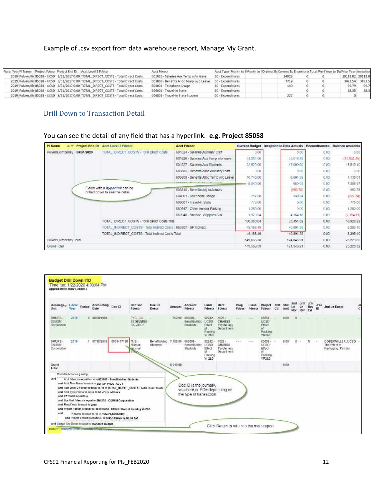#### Example of .csv export from data warehouse report, Manage My Grant.

| Fiscal Year PI Name Project Foescr Project End Dt Acct Level 2 Fdescr                    | Acct Fdescr                            | Acct Type Month to I Month to I Original Bi Current Bu Encumbral Total Pre-I Year to Da Prior Yearl Inception |       |  |  |                  |      |  |
|------------------------------------------------------------------------------------------|----------------------------------------|---------------------------------------------------------------------------------------------------------------|-------|--|--|------------------|------|--|
| 2019 Pulvers, Kin 85028 - UCSD   3/31/2017 0:00 TOTAL_DIRECT_COSTS - Total Direct Costs  | 601826 - Salaries Aux Temp w/o leave   | 60 - Expenditures                                                                                             | 24928 |  |  | 29112.82 29112.8 |      |  |
| 2019 Pulvers, Kin 85028 - UCSD 3/31/2017 0:00 TOTAL_DIRECT_COSTS - Total Direct Costs    | 603808 - Benefits Alloc Temp w/o Leave | 60 - Expenditures                                                                                             | 7719  |  |  | 3493.54 3493.5   |      |  |
| 2019 Pulvers, Kin 85028 - UCSD   3/31/2017 0:00 TOTAL DIRECT COSTS - Total Direct Costs  | 604001 - Telephone Usage               | 60 - Expenditures                                                                                             | 140   |  |  | 99.79            | 99.7 |  |
| 2019 Pulvers, Kin 85028 - UCSD 3/31/2017 0:00 TOTAL DIRECT COSTS - Total Direct Costs    | 606001 - Travel-In State               | 60 - Expenditures                                                                                             |       |  |  |                  | 28.3 |  |
| 2019 Pulvers, Kin 85028 - LICSD   3/31/2017 0:00 TOTAL DIRECT COSTS - Total Direct Costs | 606803 - Travel-In State Student       | 60 - Expenditures                                                                                             | 227   |  |  |                  |      |  |

## <span id="page-11-0"></span>Drill Down to Transaction Detail

#### You can see the detail of any field that has a hyperlink. **e.g. Project 85058**

| Pi Name                          | Project End Dt | Acct Level 2 Fdescr                                              | <b>Acct Fdescr</b>                      |            | Current Budget Inception to Date Actuals Encumbrances Balance Available |             |            |
|----------------------------------|----------------|------------------------------------------------------------------|-----------------------------------------|------------|-------------------------------------------------------------------------|-------------|------------|
| Pulvers, Kimberley<br>03/31/2020 |                | TOTAL DIRECT COSTS - Total Direct Costs                          | 501824 - Salaries Auxiliary Staff       | 0.00       | 0.00                                                                    | 0.00        | 0.00       |
|                                  |                | 601826 - Salaries Aux Temp w/o leave                             | 44,364.00                               | 55016 49   | 0.00                                                                    | (10,652.49) |            |
|                                  |                | 601827 - Salaries Aux Students                                   | 32,520.00                               | 17,000.60  | 0.00                                                                    | 15.519.40   |            |
|                                  |                |                                                                  | 603806 - Benefits Alloc Auxiliary Staff | 0.00       | 0.00                                                                    | D.OC        | 0.00       |
|                                  |                |                                                                  | 603808 - Benefits Alloc Temp wro Leave  | 10,740.00  | 5,601.99                                                                | 0.00        | 4.138.01   |
|                                  |                |                                                                  |                                         | 8,040.00   | 680.03                                                                  | 0.00        | 7.359.97   |
|                                  |                | Fields with a hyperlink can be<br>driled down to see the detail. | 603810 - Benefits Adi to Actuals        |            | (950.78)                                                                | 0.00        | 950 78     |
|                                  |                |                                                                  | 604001 - Telephone Usage                | 717.00     | 939.34                                                                  | 0.00        | (222, 34)  |
|                                  |                |                                                                  | 606001 - Travel-In State                | 779.00     | 0.00                                                                    | 0.00        | 779.00     |
|                                  |                |                                                                  | 660947 - Other Vendor Parking           | 1250.00    | 0.00                                                                    | 0.00        | 1.250.00   |
|                                  |                |                                                                  | 560948 - SupSrv - Supplies Aux          | 1,970.04   | 4 164 15                                                                | D.OC        | (2.194.11) |
|                                  |                | TOTAL DIRECT COSTS - Total Direct Costs Total                    |                                         | 100.380.04 | 83.451.82                                                               | 0.00        | 16:928.22  |
|                                  |                | TOTAL INDIRECT COSTS - Total Indirect Costs 662807 - SP Indirect |                                         | 49,186.49  | 40.891.39                                                               | 0.00        | 8 295.10   |
|                                  |                | TOTAL INDIRECT COSTS - Total Indirect Costs Total                |                                         | 49 186 49  | 40.891.39                                                               | 0.00        | 8 2 9 5 10 |
| Pulvers, Kimberley, Total        |                |                                                                  | 149,556.53                              | 124.343.21 | 0.00                                                                    | 25 223 32   |            |
| Grand Total                      |                |                                                                  |                                         | 149,566.53 | 124, 343 21                                                             | 0.00        | 25:223:32  |

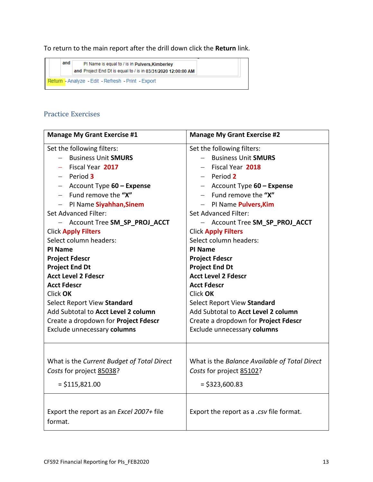To return to the main report after the drill down click the **Return** link.



# <span id="page-12-0"></span>Practice Exercises

| <b>Manage My Grant Exercise #1</b>                  | <b>Manage My Grant Exercise #2</b>               |
|-----------------------------------------------------|--------------------------------------------------|
| Set the following filters:                          | Set the following filters:                       |
| <b>Business Unit SMURS</b>                          | <b>Business Unit SMURS</b>                       |
| Fiscal Year 2017                                    | Fiscal Year 2018<br>$\overline{\phantom{0}}$     |
| $-$ Period 3                                        | $-$ Period 2                                     |
| - Account Type 60 - Expense                         | - Account Type 60 - Expense                      |
| - Fund remove the " $X''$                           | - Fund remove the " $X''$                        |
| - PI Name Siyahhan, Sinem                           | PI Name Pulvers, Kim<br>$\overline{\phantom{a}}$ |
| <b>Set Advanced Filter:</b>                         | <b>Set Advanced Filter:</b>                      |
| - Account Tree SM_SP_PROJ_ACCT                      | - Account Tree SM_SP_PROJ_ACCT                   |
| <b>Click Apply Filters</b>                          | <b>Click Apply Filters</b>                       |
| Select column headers:                              | Select column headers:                           |
| PI Name                                             | PI Name                                          |
| <b>Project Fdescr</b>                               | <b>Project Fdescr</b>                            |
| <b>Project End Dt</b>                               | <b>Project End Dt</b>                            |
| <b>Acct Level 2 Fdescr</b>                          | <b>Acct Level 2 Fdescr</b>                       |
| <b>Acct Fdescr</b>                                  | <b>Acct Fdescr</b>                               |
| Click OK                                            | Click OK                                         |
| Select Report View Standard                         | Select Report View Standard                      |
| Add Subtotal to Acct Level 2 column                 | Add Subtotal to Acct Level 2 column              |
| Create a dropdown for Project Fdescr                | Create a dropdown for Project Fdescr             |
| Exclude unnecessary columns                         | Exclude unnecessary columns                      |
|                                                     |                                                  |
| What is the Current Budget of Total Direct          | What is the Balance Available of Total Direct    |
| Costs for project 85038?                            | Costs for project 85102?                         |
| $=$ \$115,821.00                                    | $=$ \$323,600.83                                 |
|                                                     |                                                  |
| Export the report as an Excel 2007+ file<br>format. | Export the report as a .csv file format.         |